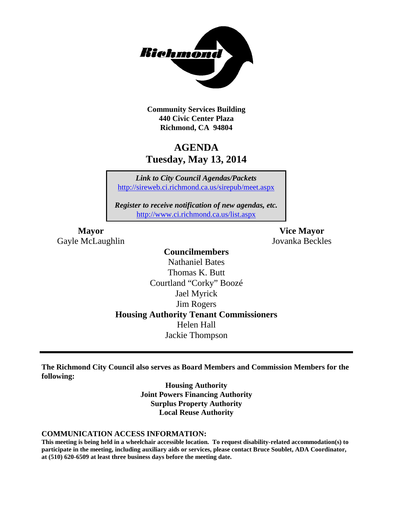

**Community Services Building 440 Civic Center Plaza Richmond, CA 94804**

# **AGENDA Tuesday, May 13, 2014**

*Link to City Council Agendas/Packets* <http://sireweb.ci.richmond.ca.us/sirepub/meet.aspx>

*Register to receive notification of new agendas, etc.* <http://www.ci.richmond.ca.us/list.aspx>

Gayle McLaughlin Jovanka Beckles

**Mayor Vice Mayor**

# **Councilmembers**

Nathaniel Bates Thomas K. Butt Courtland "Corky" Boozé Jael Myrick Jim Rogers **Housing Authority Tenant Commissioners** Helen Hall Jackie Thompson

**The Richmond City Council also serves as Board Members and Commission Members for the following:**

> **Housing Authority Joint Powers Financing Authority Surplus Property Authority Local Reuse Authority**

#### **COMMUNICATION ACCESS INFORMATION:**

**This meeting is being held in a wheelchair accessible location. To request disability-related accommodation(s) to participate in the meeting, including auxiliary aids or services, please contact Bruce Soublet, ADA Coordinator, at (510) 620-6509 at least three business days before the meeting date.**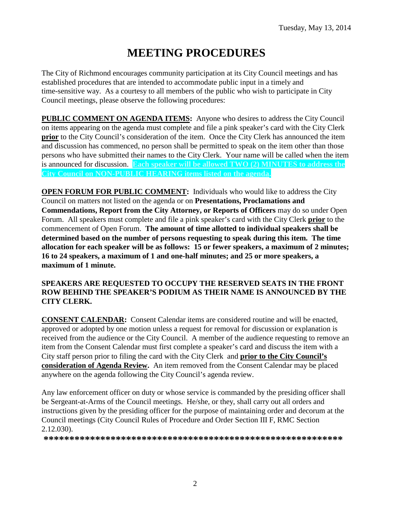# **MEETING PROCEDURES**

The City of Richmond encourages community participation at its City Council meetings and has established procedures that are intended to accommodate public input in a timely and time-sensitive way. As a courtesy to all members of the public who wish to participate in City Council meetings, please observe the following procedures:

**PUBLIC COMMENT ON AGENDA ITEMS:** Anyone who desires to address the City Council on items appearing on the agenda must complete and file a pink speaker's card with the City Clerk **prior** to the City Council's consideration of the item. Once the City Clerk has announced the item and discussion has commenced, no person shall be permitted to speak on the item other than those persons who have submitted their names to the City Clerk. Your name will be called when the item is announced for discussion. **Each speaker will be allowed TWO (2) MINUTES to address the City Council on NON-PUBLIC HEARING items listed on the agenda.**

**OPEN FORUM FOR PUBLIC COMMENT:** Individuals who would like to address the City Council on matters not listed on the agenda or on **Presentations, Proclamations and Commendations, Report from the City Attorney, or Reports of Officers** may do so under Open Forum. All speakers must complete and file a pink speaker's card with the City Clerk **prior** to the commencement of Open Forum. **The amount of time allotted to individual speakers shall be determined based on the number of persons requesting to speak during this item. The time allocation for each speaker will be as follows: 15 or fewer speakers, a maximum of 2 minutes; 16 to 24 speakers, a maximum of 1 and one-half minutes; and 25 or more speakers, a maximum of 1 minute.**

#### **SPEAKERS ARE REQUESTED TO OCCUPY THE RESERVED SEATS IN THE FRONT ROW BEHIND THE SPEAKER'S PODIUM AS THEIR NAME IS ANNOUNCED BY THE CITY CLERK.**

**CONSENT CALENDAR:** Consent Calendar items are considered routine and will be enacted, approved or adopted by one motion unless a request for removal for discussion or explanation is received from the audience or the City Council. A member of the audience requesting to remove an item from the Consent Calendar must first complete a speaker's card and discuss the item with a City staff person prior to filing the card with the City Clerk and **prior to the City Council's consideration of Agenda Review.** An item removed from the Consent Calendar may be placed anywhere on the agenda following the City Council's agenda review.

Any law enforcement officer on duty or whose service is commanded by the presiding officer shall be Sergeant-at-Arms of the Council meetings. He/she, or they, shall carry out all orders and instructions given by the presiding officer for the purpose of maintaining order and decorum at the Council meetings (City Council Rules of Procedure and Order Section III F, RMC Section 2.12.030).

**\*\*\*\*\*\*\*\*\*\*\*\*\*\*\*\*\*\*\*\*\*\*\*\*\*\*\*\*\*\*\*\*\*\*\*\*\*\*\*\*\*\*\*\*\*\*\*\*\*\*\*\*\*\*\*\*\*\***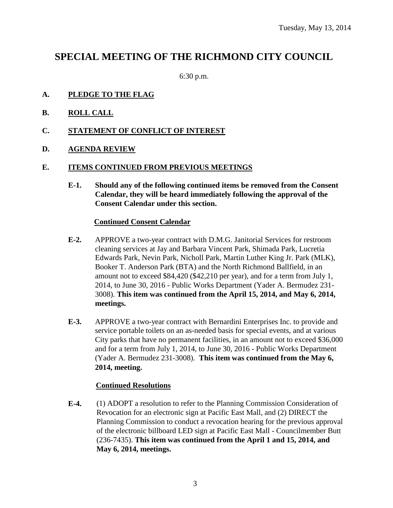# **SPECIAL MEETING OF THE RICHMOND CITY COUNCIL**

6:30 p.m.

# **A. PLEDGE TO THE FLAG**

- **B. ROLL CALL**
- **C. STATEMENT OF CONFLICT OF INTEREST**
- **D. AGENDA REVIEW**

#### **E. ITEMS CONTINUED FROM PREVIOUS MEETINGS**

**E-1. Should any of the following continued items be removed from the Consent Calendar, they will be heard immediately following the approval of the Consent Calendar under this section.**

#### **Continued Consent Calendar**

- **E-2.** APPROVE a two-year contract with D.M.G. Janitorial Services for restroom cleaning services at Jay and Barbara Vincent Park, Shimada Park, Lucretia Edwards Park, Nevin Park, Nicholl Park, Martin Luther King Jr. Park (MLK), Booker T. Anderson Park (BTA) and the North Richmond Ballfield, in an amount not to exceed \$84,420 (\$42,210 per year), and for a term from July 1, 2014, to June 30, 2016 - Public Works Department (Yader A. Bermudez 231- 3008). **This item was continued from the April 15, 2014, and May 6, 2014, meetings.**
- **E-3.** APPROVE a two-year contract with Bernardini Enterprises Inc. to provide and service portable toilets on an as-needed basis for special events, and at various City parks that have no permanent facilities, in an amount not to exceed \$36,000 and for a term from July 1, 2014, to June 30, 2016 - Public Works Department (Yader A. Bermudez 231-3008). **This item was continued from the May 6, 2014, meeting.**

#### **Continued Resolutions**

**E-4.** (1) ADOPT a resolution to refer to the Planning Commission Consideration of Revocation for an electronic sign at Pacific East Mall, and (2) DIRECT the Planning Commission to conduct a revocation hearing for the previous approval of the electronic billboard LED sign at Pacific East Mall - Councilmember Butt (236-7435). **This item was continued from the April 1 and 15, 2014, and May 6, 2014, meetings.**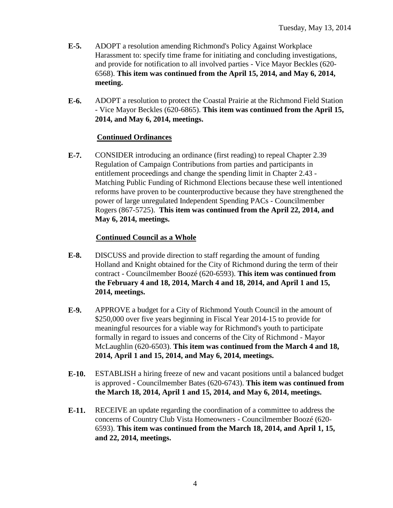- **E-5.** ADOPT a resolution amending Richmond's Policy Against Workplace Harassment to: specify time frame for initiating and concluding investigations, and provide for notification to all involved parties - Vice Mayor Beckles (620- 6568). **This item was continued from the April 15, 2014, and May 6, 2014, meeting.**
- **E-6.** ADOPT a resolution to protect the Coastal Prairie at the Richmond Field Station - Vice Mayor Beckles (620-6865). **This item was continued from the April 15, 2014, and May 6, 2014, meetings.**

# **Continued Ordinances**

**E-7.** CONSIDER introducing an ordinance (first reading) to repeal Chapter 2.39 Regulation of Campaign Contributions from parties and participants in entitlement proceedings and change the spending limit in Chapter 2.43 - Matching Public Funding of Richmond Elections because these well intentioned reforms have proven to be counterproductive because they have strengthened the power of large unregulated Independent Spending PACs - Councilmember Rogers (867-5725). **This item was continued from the April 22, 2014, and May 6, 2014, meetings.**

# **Continued Council as a Whole**

- **E-8.** DISCUSS and provide direction to staff regarding the amount of funding Holland and Knight obtained for the City of Richmond during the term of their contract - Councilmember Boozé (620-6593). **This item was continued from the February 4 and 18, 2014, March 4 and 18, 2014, and April 1 and 15, 2014, meetings.**
- **E-9.** APPROVE a budget for a City of Richmond Youth Council in the amount of \$250,000 over five years beginning in Fiscal Year 2014-15 to provide for meaningful resources for a viable way for Richmond's youth to participate formally in regard to issues and concerns of the City of Richmond - Mayor McLaughlin (620-6503). **This item was continued from the March 4 and 18, 2014, April 1 and 15, 2014, and May 6, 2014, meetings.**
- **E-10.** ESTABLISH a hiring freeze of new and vacant positions until a balanced budget is approved - Councilmember Bates (620-6743). **This item was continued from the March 18, 2014, April 1 and 15, 2014, and May 6, 2014, meetings.**
- **E-11.** RECEIVE an update regarding the coordination of a committee to address the concerns of Country Club Vista Homeowners - Councilmember Boozé (620- 6593). **This item was continued from the March 18, 2014, and April 1, 15, and 22, 2014, meetings.**